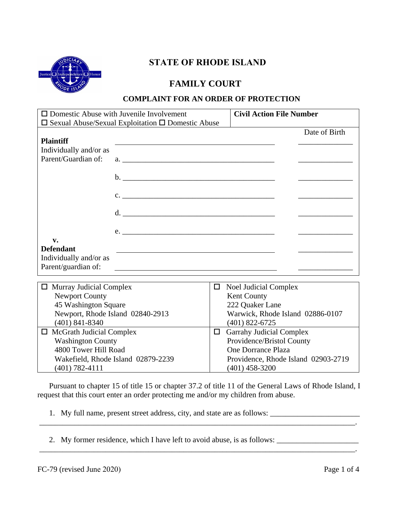

## **FAMILY COURT**

### **COMPLAINT FOR AN ORDER OF PROTECTION**

| $\Box$ Domestic Abuse with Juvenile Involvement |                                                                     |        | <b>Civil Action File Number</b>  |               |
|-------------------------------------------------|---------------------------------------------------------------------|--------|----------------------------------|---------------|
|                                                 | $\square$ Sexual Abuse/Sexual Exploitation $\square$ Domestic Abuse |        |                                  |               |
|                                                 |                                                                     |        |                                  | Date of Birth |
| <b>Plaintiff</b>                                |                                                                     |        |                                  |               |
| Individually and/or as                          |                                                                     |        |                                  |               |
| Parent/Guardian of:                             |                                                                     |        |                                  |               |
|                                                 |                                                                     |        |                                  |               |
|                                                 | $c.$ $\overline{\phantom{a}}$                                       |        |                                  |               |
|                                                 |                                                                     |        |                                  |               |
|                                                 |                                                                     |        |                                  |               |
| v.                                              |                                                                     |        |                                  |               |
| <b>Defendant</b>                                |                                                                     |        |                                  |               |
| Individually and/or as                          |                                                                     |        |                                  |               |
| Parent/guardian of:                             |                                                                     |        |                                  |               |
|                                                 |                                                                     |        |                                  |               |
| <b>Murray Judicial Complex</b><br>0             |                                                                     | □      | Noel Judicial Complex            |               |
| <b>Newport County</b>                           |                                                                     |        | Kent County                      |               |
| 45 Washington Square                            |                                                                     |        | 222 Quaker Lane                  |               |
| Newport, Rhode Island 02840-2913                |                                                                     |        | Warwick, Rhode Island 02886-0107 |               |
| $(401)$ 841-8340                                |                                                                     |        | $(401)$ 822-6725                 |               |
| $\Box$ McGrath Judicial Complex                 |                                                                     | $\Box$ | <b>Garrahy Judicial Complex</b>  |               |
| <b>Washington County</b>                        |                                                                     |        | Providence/Bristol County        |               |
| 4800 Tower Hill Road                            |                                                                     |        | One Dorrance Plaza               |               |

 Pursuant to chapter 15 of title 15 or chapter 37.2 of title 11 of the General Laws of Rhode Island, I request that this court enter an order protecting me and/or my children from abuse.

\_\_\_\_\_\_\_\_\_\_\_\_\_\_\_\_\_\_\_\_\_\_\_\_\_\_\_\_\_\_\_\_\_\_\_\_\_\_\_\_\_\_\_\_\_\_\_\_\_\_\_\_\_\_\_\_\_\_\_\_\_\_\_\_\_\_\_\_\_\_\_\_\_\_\_\_\_\_\_\_\_.

- 1. My full name, present street address, city, and state are as follows: \_\_\_\_\_\_\_\_\_\_\_\_\_\_\_\_\_\_\_\_\_\_\_
- 2. My former residence, which I have left to avoid abuse, is as follows: \_\_\_\_\_\_\_\_\_\_\_\_\_\_\_\_\_\_\_\_\_

Wakefield, Rhode Island 02879-2239 (401) 782-4111

 $\mathcal{L} = \mathcal{L} \mathcal{L}$ 

Providence, Rhode Island 02903-2719

(401) 458-3200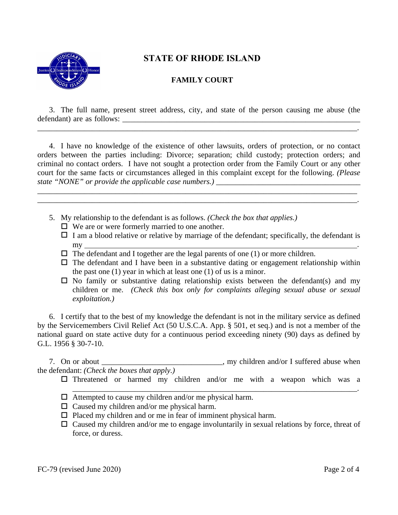

### **FAMILY COURT**

3. The full name, present street address, city, and state of the person causing me abuse (the defendant) are as follows:

\_\_\_\_\_\_\_\_\_\_\_\_\_\_\_\_\_\_\_\_\_\_\_\_\_\_\_\_\_\_\_\_\_\_\_\_\_\_\_\_\_\_\_\_\_\_\_\_\_\_\_\_\_\_\_\_\_\_\_\_\_\_\_\_\_\_\_\_\_\_\_\_\_\_\_\_\_\_\_\_\_\_.

4. I have no knowledge of the existence of other lawsuits, orders of protection, or no contact orders between the parties including: Divorce; separation; child custody; protection orders; and criminal no contact orders. I have not sought a protection order from the Family Court or any other court for the same facts or circumstances alleged in this complaint except for the following. *(Please state "NONE" or provide the applicable case numbers.) \_\_\_\_\_\_\_\_\_\_\_\_\_\_\_\_\_\_\_\_\_\_\_\_\_\_\_\_\_\_\_\_\_\_\_\_\_* 

\_\_\_\_\_\_\_\_\_\_\_\_\_\_\_\_\_\_\_\_\_\_\_\_\_\_\_\_\_\_\_\_\_\_\_\_\_\_\_\_\_\_\_\_\_\_\_\_\_\_\_\_\_\_\_\_\_\_\_\_\_\_\_\_\_\_\_\_\_\_\_\_\_\_\_\_\_\_\_\_\_\_ \_\_\_\_\_\_\_\_\_\_\_\_\_\_\_\_\_\_\_\_\_\_\_\_\_\_\_\_\_\_\_\_\_\_\_\_\_\_\_\_\_\_\_\_\_\_\_\_\_\_\_\_\_\_\_\_\_\_\_\_\_\_\_\_\_\_\_\_\_\_\_\_\_\_\_\_\_\_\_\_\_\_.

- 5. My relationship to the defendant is as follows. *(Check the box that applies.)*
	- $\Box$  We are or were formerly married to one another.
	- $\Box$  I am a blood relative or relative by marriage of the defendant; specifically, the defendant is  $\mathsf{my}$  . The set of the set of the set of the set of the set of the set of the set of the set of the set of the set of the set of the set of the set of the set of the set of the set of the set of the set of the set of t
	- $\Box$  The defendant and I together are the legal parents of one (1) or more children.
	- $\Box$  The defendant and I have been in a substantive dating or engagement relationship within the past one (1) year in which at least one (1) of us is a minor.
	- $\square$  No family or substantive dating relationship exists between the defendant(s) and my children or me. *(Check this box only for complaints alleging sexual abuse or sexual exploitation.)*

6. I certify that to the best of my knowledge the defendant is not in the military service as defined by the Servicemembers Civil Relief Act (50 U.S.C.A. App. § 501, et seq.) and is not a member of the national guard on state active duty for a continuous period exceeding ninety (90) days as defined by G.L. 1956 § 30-7-10.

7. On or about \_\_\_\_\_\_\_\_\_\_\_\_\_\_\_\_\_\_\_\_\_\_\_\_\_\_\_\_\_\_\_, my children and/or I suffered abuse when the defendant: *(Check the boxes that apply.)*

 $\square$  Threatened or harmed my children and/or me with a weapon which was a

\_\_\_\_\_\_\_\_\_\_\_\_\_\_\_\_\_\_\_\_\_\_\_\_\_\_\_\_\_\_\_\_\_\_\_\_\_\_\_\_\_\_\_\_\_\_\_\_\_\_\_\_\_\_\_\_\_\_\_\_\_\_\_\_\_\_\_\_\_\_\_\_\_.

- $\Box$  Attempted to cause my children and/or me physical harm.
- $\Box$  Caused my children and/or me physical harm.
- $\square$  Placed my children and or me in fear of imminent physical harm.
- $\Box$  Caused my children and/or me to engage involuntarily in sexual relations by force, threat of force, or duress.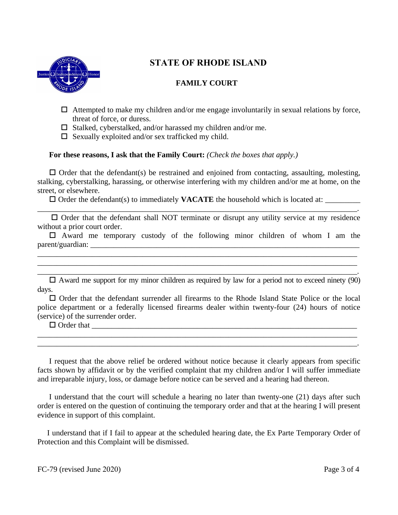

### **FAMILY COURT**

- $\Box$  Attempted to make my children and/or me engage involuntarily in sexual relations by force, threat of force, or duress.
- $\square$  Stalked, cyberstalked, and/or harassed my children and/or me.
- $\square$  Sexually exploited and/or sex trafficked my child.

### **For these reasons, I ask that the Family Court:** *(Check the boxes that apply.)*

 $\Box$  Order that the defendant(s) be restrained and enjoined from contacting, assaulting, molesting, stalking, cyberstalking, harassing, or otherwise interfering with my children and/or me at home, on the street, or elsewhere.

 $\Box$  Order the defendant(s) to immediately **VACATE** the household which is located at:  $\Box$ 

\_\_\_\_\_\_\_\_\_\_\_\_\_\_\_\_\_\_\_\_\_\_\_\_\_\_\_\_\_\_\_\_\_\_\_\_\_\_\_\_\_\_\_\_\_\_\_\_\_\_\_\_\_\_\_\_\_\_\_\_\_\_\_\_\_\_\_\_\_\_\_\_\_\_\_\_\_\_\_\_\_\_.  $\Box$  Order that the defendant shall NOT terminate or disrupt any utility service at my residence without a prior court order.

 $\Box$  Award me temporary custody of the following minor children of whom I am the  $\text{parent/quardian:}$ 

 $\Box$  Award me support for my minor children as required by law for a period not to exceed ninety (90) days.

\_\_\_\_\_\_\_\_\_\_\_\_\_\_\_\_\_\_\_\_\_\_\_\_\_\_\_\_\_\_\_\_\_\_\_\_\_\_\_\_\_\_\_\_\_\_\_\_\_\_\_\_\_\_\_\_\_\_\_\_\_\_\_\_\_\_\_\_\_\_\_\_\_\_\_\_\_\_\_\_\_\_ \_\_\_\_\_\_\_\_\_\_\_\_\_\_\_\_\_\_\_\_\_\_\_\_\_\_\_\_\_\_\_\_\_\_\_\_\_\_\_\_\_\_\_\_\_\_\_\_\_\_\_\_\_\_\_\_\_\_\_\_\_\_\_\_\_\_\_\_\_\_\_\_\_\_\_\_\_\_\_\_\_\_.

 Order that the defendant surrender all firearms to the Rhode Island State Police or the local police department or a federally licensed firearms dealer within twenty-four (24) hours of notice (service) of the surrender order.

\_\_\_\_\_\_\_\_\_\_\_\_\_\_\_\_\_\_\_\_\_\_\_\_\_\_\_\_\_\_\_\_\_\_\_\_\_\_\_\_\_\_\_\_\_\_\_\_\_\_\_\_\_\_\_\_\_\_\_\_\_\_\_\_\_\_\_\_\_\_\_\_\_\_\_\_\_\_\_\_\_\_ \_\_\_\_\_\_\_\_\_\_\_\_\_\_\_\_\_\_\_\_\_\_\_\_\_\_\_\_\_\_\_\_\_\_\_\_\_\_\_\_\_\_\_\_\_\_\_\_\_\_\_\_\_\_\_\_\_\_\_\_\_\_\_\_\_\_\_\_\_\_\_\_\_\_\_\_\_\_\_\_\_\_.

 $\Box$  Order that

 I request that the above relief be ordered without notice because it clearly appears from specific facts shown by affidavit or by the verified complaint that my children and/or I will suffer immediate and irreparable injury, loss, or damage before notice can be served and a hearing had thereon.

 I understand that the court will schedule a hearing no later than twenty-one (21) days after such order is entered on the question of continuing the temporary order and that at the hearing I will present evidence in support of this complaint.

 I understand that if I fail to appear at the scheduled hearing date, the Ex Parte Temporary Order of Protection and this Complaint will be dismissed.